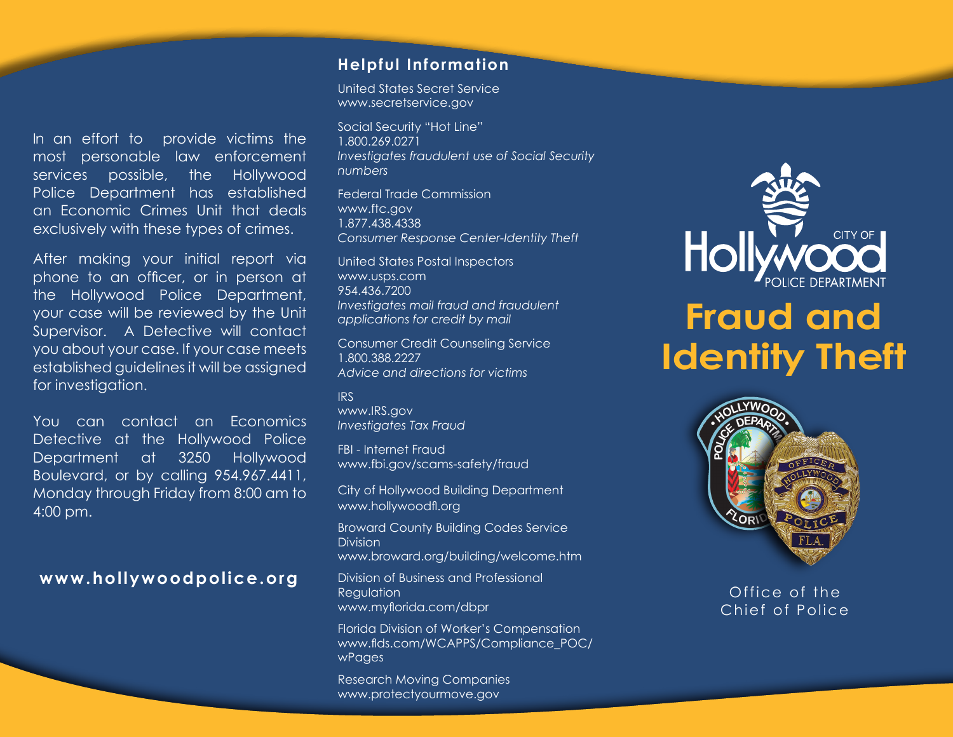In an effort to provide victims the most personable law enforcement services possible, the Hollywood Police Department has established an Economic Crimes Unit that deals exclusively with these types of crimes.

After making your initial report via phone to an officer, or in person at the Hollywood Police Department, your case will be reviewed by the Unit Supervisor. A Detective will contact you about your case. If your case meets established guidelines it will be assigned for investigation.

You can contact an Economics Detective at the Hollywood Police Department at 3250 Hollywood Boulevard, or by calling 954.967.4411, Monday through Friday from 8:00 am to 4:00 pm.

#### **www.hollywoodpolice.org**

#### **Helpful Information**

United States Secret Service www.secretservice.gov

Social Security "Hot Line" 1.800.269.0271 *Investigates fraudulent use of Social Security numbers*

Federal Trade Commission www.ftc.gov 1.877.438.4338 *Consumer Response Center-Identity Theft*

United States Postal Inspectors www.usps.com 954.436.7200 *Investigates mail fraud and fraudulent applications for credit by mail*

Consumer Credit Counseling Service 1.800.388.2227 *Advice and directions for victims*

IRS www.IRS.gov *Investigates Tax Fraud*

FBI - Internet Fraud www.fbi.gov/scams-safety/fraud

City of Hollywood Building Department www.hollywoodfl.org

Broward County Building Codes Service Division

www.broward.org/building/welcome.htm

Division of Business and Professional Regulation www.myflorida.com/dbpr

Florida Division of Worker's Compensation www.flds.com/WCAPPS/Compliance\_POC/ wPages

Research Moving Companies www.protectyourmove.gov



# **Fraud and Identity Theft**



Office of the Chief of Police